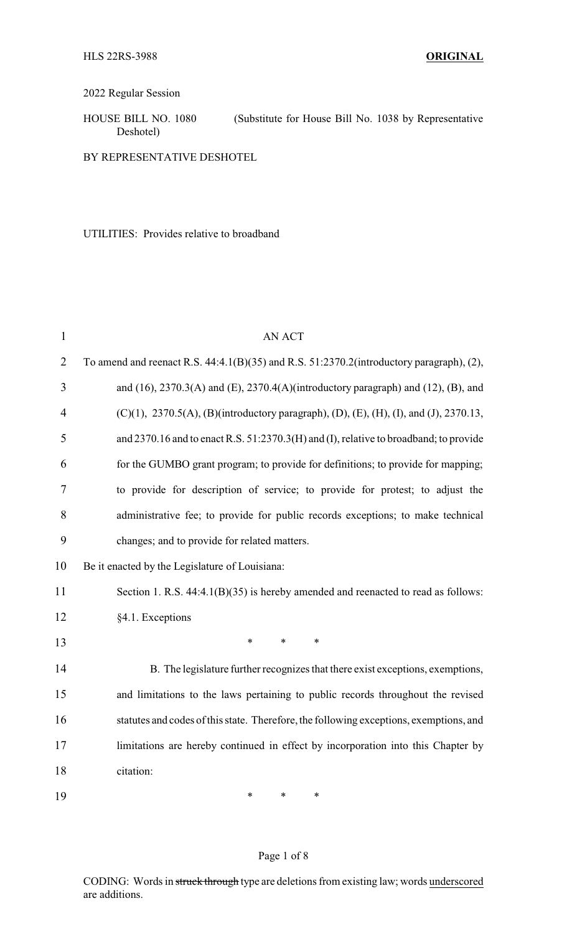## 2022 Regular Session

HOUSE BILL NO. 1080 (Substitute for House Bill No. 1038 by Representative Deshotel)

BY REPRESENTATIVE DESHOTEL

UTILITIES: Provides relative to broadband

| $\mathbf{1}$   | <b>AN ACT</b>                                                                                 |  |
|----------------|-----------------------------------------------------------------------------------------------|--|
| $\overline{2}$ | To amend and reenact R.S. 44:4.1(B)(35) and R.S. 51:2370.2(introductory paragraph), (2),      |  |
| 3              | and $(16)$ , 2370.3(A) and $(E)$ , 2370.4(A)(introductory paragraph) and $(12)$ , $(B)$ , and |  |
| $\overline{4}$ | (C)(1), 2370.5(A), (B)(introductory paragraph), (D), (E), (H), (I), and (J), 2370.13,         |  |
| 5              | and 2370.16 and to enact R.S. 51:2370.3(H) and (I), relative to broadband; to provide         |  |
| 6              | for the GUMBO grant program; to provide for definitions; to provide for mapping;              |  |
| 7              | to provide for description of service; to provide for protest; to adjust the                  |  |
| 8              | administrative fee; to provide for public records exceptions; to make technical               |  |
| 9              | changes; and to provide for related matters.                                                  |  |
| 10             | Be it enacted by the Legislature of Louisiana:                                                |  |
| 11             | Section 1. R.S. 44:4.1(B)(35) is hereby amended and reenacted to read as follows:             |  |
| 12             | §4.1. Exceptions                                                                              |  |
| 13             | *<br>$\ast$<br>$\ast$                                                                         |  |
| 14             | B. The legislature further recognizes that there exist exceptions, exemptions,                |  |
| 15             | and limitations to the laws pertaining to public records throughout the revised               |  |
| 16             | statutes and codes of this state. Therefore, the following exceptions, exemptions, and        |  |
| 17             | limitations are hereby continued in effect by incorporation into this Chapter by              |  |
| 18             | citation:                                                                                     |  |
| 19             | $\ast$<br>*<br>$\ast$                                                                         |  |

## Page 1 of 8

CODING: Words in struck through type are deletions from existing law; words underscored are additions.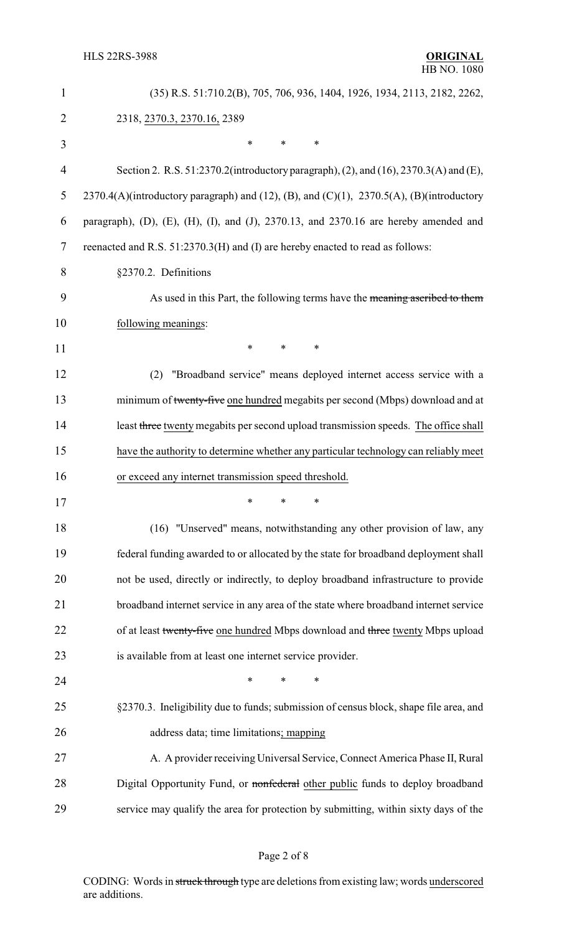| $\mathbf{1}$   | (35) R.S. 51:710.2(B), 705, 706, 936, 1404, 1926, 1934, 2113, 2182, 2262,                           |  |
|----------------|-----------------------------------------------------------------------------------------------------|--|
| $\overline{2}$ | 2318, 2370.3, 2370.16, 2389                                                                         |  |
| 3              | *<br>$\ast$<br>*                                                                                    |  |
| $\overline{4}$ | Section 2. R.S. 51:2370.2(introductory paragraph), (2), and (16), 2370.3(A) and (E),                |  |
| 5              | 2370.4(A)(introductory paragraph) and (12), (B), and (C)(1), 2370.5(A), (B)(introductory            |  |
| 6              | paragraph), $(D)$ , $(E)$ , $(H)$ , $(I)$ , and $(J)$ , 2370.13, and 2370.16 are hereby amended and |  |
| 7              | reenacted and R.S. 51:2370.3(H) and (I) are hereby enacted to read as follows:                      |  |
| 8              | §2370.2. Definitions                                                                                |  |
| 9              | As used in this Part, the following terms have the meaning ascribed to them                         |  |
| 10             | following meanings:                                                                                 |  |
| 11             | $\ast$<br>∗<br>*                                                                                    |  |
| 12             | "Broadband service" means deployed internet access service with a<br>(2)                            |  |
| 13             | minimum of twenty-five one hundred megabits per second (Mbps) download and at                       |  |
| 14             | least three twenty megabits per second upload transmission speeds. The office shall                 |  |
| 15             | have the authority to determine whether any particular technology can reliably meet                 |  |
| 16             | or exceed any internet transmission speed threshold.                                                |  |
| 17             | $\frac{1}{2}$ $\frac{1}{2}$                                                                         |  |
| 18             | (16) "Unserved" means, notwithstanding any other provision of law, any                              |  |
| 19             | federal funding awarded to or allocated by the state for broadband deployment shall                 |  |
| 20             | not be used, directly or indirectly, to deploy broadband infrastructure to provide                  |  |
| 21             | broadband internet service in any area of the state where broadband internet service                |  |
| 22             | of at least twenty-five one hundred Mbps download and three twenty Mbps upload                      |  |
| 23             | is available from at least one internet service provider.                                           |  |
| 24             | $\ast$<br>∗                                                                                         |  |
| 25             | §2370.3. Ineligibility due to funds; submission of census block, shape file area, and               |  |
| 26             | address data; time limitations; mapping                                                             |  |
| 27             | A. A provider receiving Universal Service, Connect America Phase II, Rural                          |  |
| 28             | Digital Opportunity Fund, or nonfederal other public funds to deploy broadband                      |  |
| 29             | service may qualify the area for protection by submitting, within sixty days of the                 |  |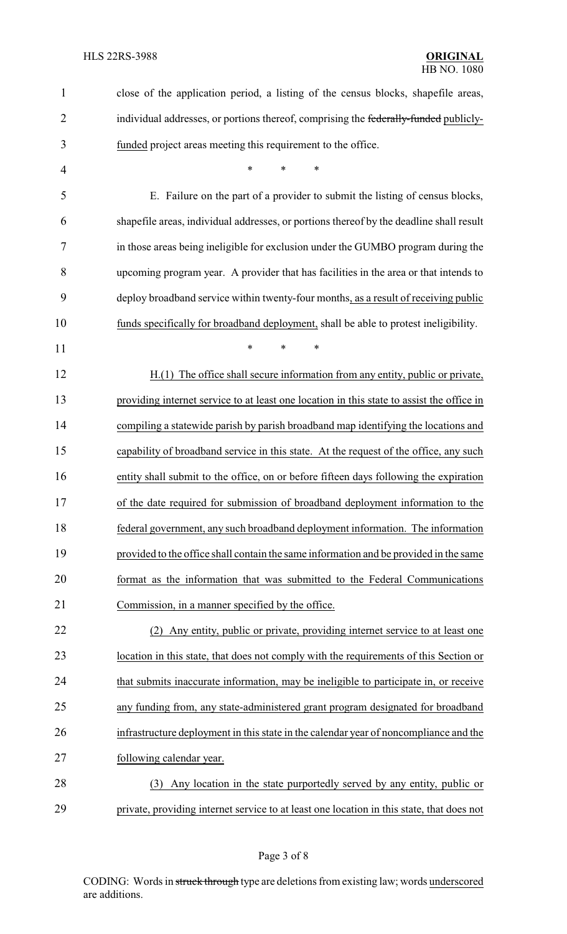| $\mathbf{1}$   | close of the application period, a listing of the census blocks, shapefile areas,         |
|----------------|-------------------------------------------------------------------------------------------|
| $\overline{2}$ | individual addresses, or portions thereof, comprising the federally-funded publicly-      |
| 3              | funded project areas meeting this requirement to the office.                              |
| 4              | *<br>$\ast$<br>*                                                                          |
| 5              | E. Failure on the part of a provider to submit the listing of census blocks,              |
| 6              | shapefile areas, individual addresses, or portions thereof by the deadline shall result   |
| 7              | in those areas being ineligible for exclusion under the GUMBO program during the          |
| 8              | upcoming program year. A provider that has facilities in the area or that intends to      |
| 9              | deploy broadband service within twenty-four months, as a result of receiving public       |
| 10             | funds specifically for broadband deployment, shall be able to protest ineligibility.      |
| 11             | *<br>$\ast$<br>*                                                                          |
| 12             | H.(1) The office shall secure information from any entity, public or private,             |
| 13             | providing internet service to at least one location in this state to assist the office in |
| 14             | compiling a statewide parish by parish broadband map identifying the locations and        |
| 15             | capability of broadband service in this state. At the request of the office, any such     |
| 16             | entity shall submit to the office, on or before fifteen days following the expiration     |
| 17             | of the date required for submission of broadband deployment information to the            |
| 18             | federal government, any such broadband deployment information. The information            |
| 19             | provided to the office shall contain the same information and be provided in the same     |
| 20             | format as the information that was submitted to the Federal Communications                |
| 21             | Commission, in a manner specified by the office.                                          |
| 22             | (2) Any entity, public or private, providing internet service to at least one             |
| 23             | location in this state, that does not comply with the requirements of this Section or     |
| 24             | that submits inaccurate information, may be ineligible to participate in, or receive      |
| 25             | any funding from, any state-administered grant program designated for broadband           |
| 26             | infrastructure deployment in this state in the calendar year of noncompliance and the     |
| 27             | following calendar year.                                                                  |
| 28             | Any location in the state purportedly served by any entity, public or<br>(3)              |
| 29             | private, providing internet service to at least one location in this state, that does not |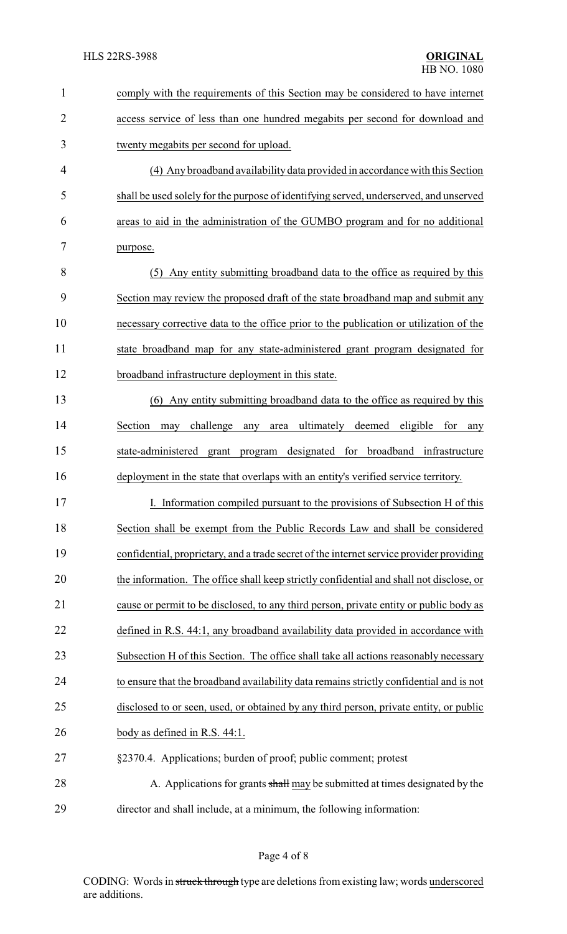| $\mathbf{1}$   | comply with the requirements of this Section may be considered to have internet          |  |
|----------------|------------------------------------------------------------------------------------------|--|
| $\overline{2}$ | access service of less than one hundred megabits per second for download and             |  |
| 3              | twenty megabits per second for upload.                                                   |  |
| $\overline{4}$ | (4) Any broadband availability data provided in accordance with this Section             |  |
| 5              | shall be used solely for the purpose of identifying served, underserved, and unserved    |  |
| 6              | areas to aid in the administration of the GUMBO program and for no additional            |  |
| 7              | purpose.                                                                                 |  |
| 8              | (5) Any entity submitting broadband data to the office as required by this               |  |
| 9              | Section may review the proposed draft of the state broadband map and submit any          |  |
| 10             | necessary corrective data to the office prior to the publication or utilization of the   |  |
| 11             | state broadband map for any state-administered grant program designated for              |  |
| 12             | broadband infrastructure deployment in this state.                                       |  |
| 13             | (6) Any entity submitting broadband data to the office as required by this               |  |
| 14             | area ultimately deemed eligible<br>Section<br>challenge<br>for<br>may<br>any<br>any      |  |
| 15             | state-administered<br>program designated for broadband infrastructure<br>grant           |  |
| 16             | deployment in the state that overlaps with an entity's verified service territory.       |  |
| 17             | I. Information compiled pursuant to the provisions of Subsection H of this               |  |
| 18             | Section shall be exempt from the Public Records Law and shall be considered              |  |
| 19             | confidential, proprietary, and a trade secret of the internet service provider providing |  |
| 20             | the information. The office shall keep strictly confidential and shall not disclose, or  |  |
| 21             | cause or permit to be disclosed, to any third person, private entity or public body as   |  |
| 22             | defined in R.S. 44:1, any broadband availability data provided in accordance with        |  |
| 23             | Subsection H of this Section. The office shall take all actions reasonably necessary     |  |
| 24             | to ensure that the broadband availability data remains strictly confidential and is not  |  |
| 25             | disclosed to or seen, used, or obtained by any third person, private entity, or public   |  |
| 26             | body as defined in R.S. 44:1.                                                            |  |
| 27             | §2370.4. Applications; burden of proof; public comment; protest                          |  |
| 28             | A. Applications for grants shall may be submitted at times designated by the             |  |
| 29             | director and shall include, at a minimum, the following information:                     |  |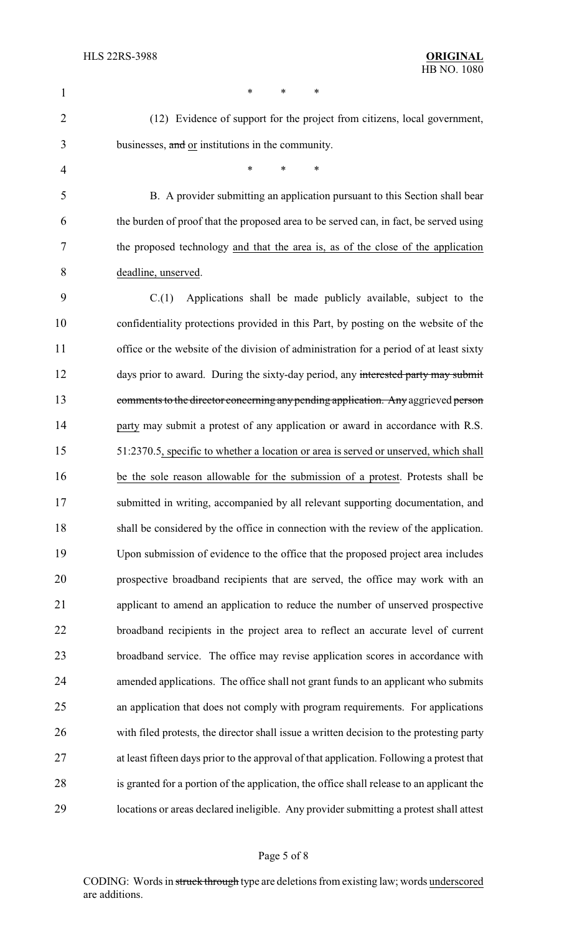| $\mathbf{1}$   | *<br>*<br>∗                                                                               |
|----------------|-------------------------------------------------------------------------------------------|
| $\overline{2}$ | (12) Evidence of support for the project from citizens, local government,                 |
| 3              | businesses, and or institutions in the community.                                         |
| 4              | *<br>$\ast$<br>∗                                                                          |
| 5              | B. A provider submitting an application pursuant to this Section shall bear               |
| 6              | the burden of proof that the proposed area to be served can, in fact, be served using     |
| 7              | the proposed technology and that the area is, as of the close of the application          |
| 8              | deadline, unserved.                                                                       |
| 9              | Applications shall be made publicly available, subject to the<br>C(1)                     |
| 10             | confidentiality protections provided in this Part, by posting on the website of the       |
| 11             | office or the website of the division of administration for a period of at least sixty    |
| 12             | days prior to award. During the sixty-day period, any interested party may submit         |
| 13             | comments to the director concerning any pending application. Any aggrieved person         |
| 14             | party may submit a protest of any application or award in accordance with R.S.            |
| 15             | 51:2370.5, specific to whether a location or area is served or unserved, which shall      |
| 16             | be the sole reason allowable for the submission of a protest. Protests shall be           |
| 17             | submitted in writing, accompanied by all relevant supporting documentation, and           |
| 18             | shall be considered by the office in connection with the review of the application.       |
| 19             | Upon submission of evidence to the office that the proposed project area includes         |
| 20             | prospective broadband recipients that are served, the office may work with an             |
| 21             | applicant to amend an application to reduce the number of unserved prospective            |
| 22             | broadband recipients in the project area to reflect an accurate level of current          |
| 23             | broadband service. The office may revise application scores in accordance with            |
| 24             | amended applications. The office shall not grant funds to an applicant who submits        |
| 25             | an application that does not comply with program requirements. For applications           |
| 26             | with filed protests, the director shall issue a written decision to the protesting party  |
| 27             | at least fifteen days prior to the approval of that application. Following a protest that |
| 28             | is granted for a portion of the application, the office shall release to an applicant the |
| 29             | locations or areas declared ineligible. Any provider submitting a protest shall attest    |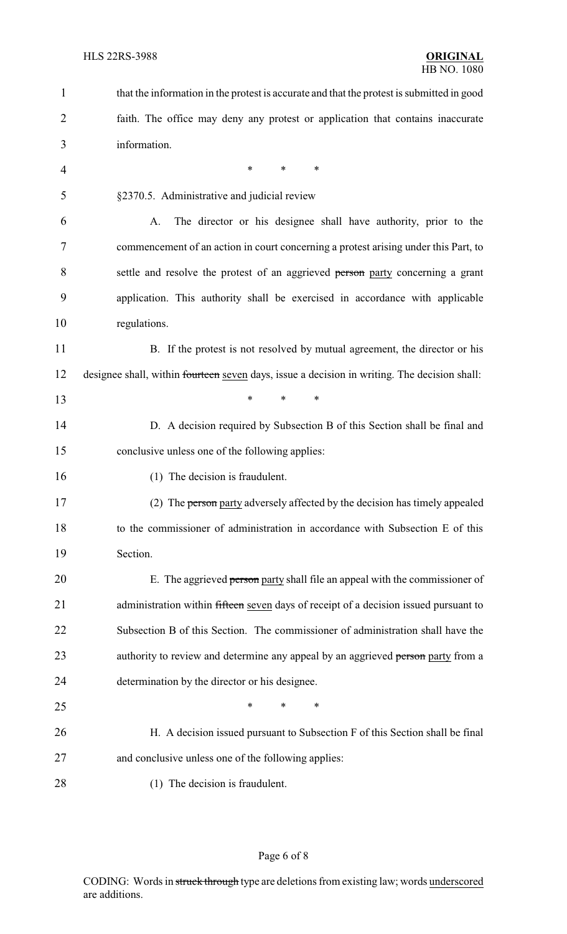| $\mathbf{1}$   | that the information in the protest is accurate and that the protest is submitted in good    |  |
|----------------|----------------------------------------------------------------------------------------------|--|
| $\overline{2}$ | faith. The office may deny any protest or application that contains inaccurate               |  |
| 3              | information.                                                                                 |  |
| $\overline{4}$ | ∗<br>∗<br>*                                                                                  |  |
| 5              | §2370.5. Administrative and judicial review                                                  |  |
| 6              | The director or his designee shall have authority, prior to the<br>A.                        |  |
| 7              | commencement of an action in court concerning a protest arising under this Part, to          |  |
| 8              | settle and resolve the protest of an aggrieved person party concerning a grant               |  |
| 9              | application. This authority shall be exercised in accordance with applicable                 |  |
| 10             | regulations.                                                                                 |  |
| 11             | B. If the protest is not resolved by mutual agreement, the director or his                   |  |
| 12             | designee shall, within fourteen seven days, issue a decision in writing. The decision shall: |  |
| 13             | $\ast$<br>*<br>*                                                                             |  |
| 14             | D. A decision required by Subsection B of this Section shall be final and                    |  |
| 15             | conclusive unless one of the following applies:                                              |  |
| 16             | (1) The decision is fraudulent.                                                              |  |
| 17             | (2) The person party adversely affected by the decision has timely appealed                  |  |
| 18             | to the commissioner of administration in accordance with Subsection E of this                |  |
| 19             | Section.                                                                                     |  |
| 20             | E. The aggrieved person party shall file an appeal with the commissioner of                  |  |
| 21             | administration within fifteen seven days of receipt of a decision issued pursuant to         |  |
| 22             | Subsection B of this Section. The commissioner of administration shall have the              |  |
| 23             | authority to review and determine any appeal by an aggrieved person party from a             |  |
| 24             | determination by the director or his designee.                                               |  |
| 25             | *<br>*<br>∗                                                                                  |  |
| 26             | H. A decision issued pursuant to Subsection F of this Section shall be final                 |  |
| 27             | and conclusive unless one of the following applies:                                          |  |
| 28             | (1) The decision is fraudulent.                                                              |  |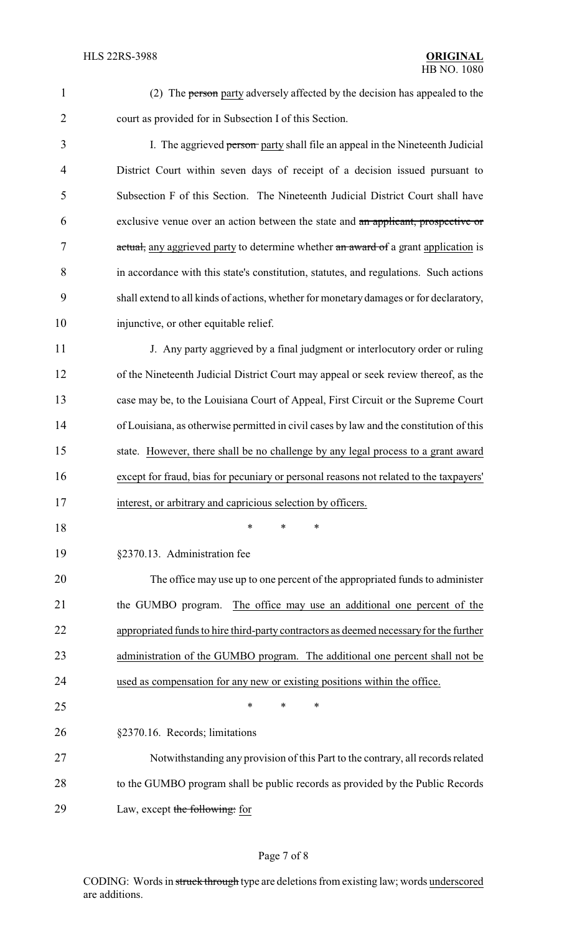- 
- 

 (2) The person party adversely affected by the decision has appealed to the court as provided for in Subsection I of this Section.

3 I. The aggrieved person party shall file an appeal in the Nineteenth Judicial District Court within seven days of receipt of a decision issued pursuant to Subsection F of this Section. The Nineteenth Judicial District Court shall have exclusive venue over an action between the state and an applicant, prospective or 7 actual, any aggrieved party to determine whether an award of a grant application is in accordance with this state's constitution, statutes, and regulations. Such actions shall extend to all kinds of actions, whether for monetary damages or for declaratory, injunctive, or other equitable relief.

11 J. Any party aggrieved by a final judgment or interlocutory order or ruling of the Nineteenth Judicial District Court may appeal or seek review thereof, as the case may be, to the Louisiana Court of Appeal, First Circuit or the Supreme Court of Louisiana, as otherwise permitted in civil cases by law and the constitution of this state. However, there shall be no challenge by any legal process to a grant award except for fraud, bias for pecuniary or personal reasons not related to the taxpayers' interest, or arbitrary and capricious selection by officers.

\* \* \*

§2370.13. Administration fee

 The office may use up to one percent of the appropriated funds to administer 21 the GUMBO program. The office may use an additional one percent of the appropriated funds to hire third-party contractors as deemed necessaryfor the further 23 administration of the GUMBO program. The additional one percent shall not be used as compensation for any new or existing positions within the office.  $*$  \* \* \*

§2370.16. Records; limitations

 Notwithstanding any provision of this Part to the contrary, all records related to the GUMBO program shall be public records as provided by the Public Records 29 Law, except the following: for

## Page 7 of 8

CODING: Words in struck through type are deletions from existing law; words underscored are additions.